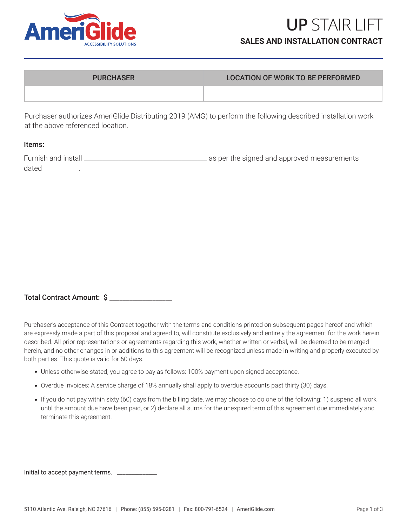

### PURCHASER LOCATION OF WORK TO BE PERFORMED

Purchaser authorizes AmeriGlide Distributing 2019 (AMG) to perform the following described installation work at the above referenced location.

#### Items:

| Furnish and install | as per the signed and approved measurements |
|---------------------|---------------------------------------------|
| dated               |                                             |

| Total Contract Amount: \$ |  |  |
|---------------------------|--|--|
|---------------------------|--|--|

Purchaser's acceptance of this Contract together with the terms and conditions printed on subsequent pages hereof and which are expressly made a part of this proposal and agreed to, will constitute exclusively and entirely the agreement for the work herein described. All prior representations or agreements regarding this work, whether written or verbal, will be deemed to be merged herein, and no other changes in or additions to this agreement will be recognized unless made in writing and properly executed by both parties. This quote is valid for 60 days.

- Unless otherwise stated, you agree to pay as follows: 100% payment upon signed acceptance. •
- Overdue Invoices: A service charge of 18% annually shall apply to overdue accounts past thirty (30) days. •
- If you do not pay within sixty (60) days from the billing date, we may choose to do one of the following: 1) suspend all work until the amount due have been paid, or 2) declare all sums for the unexpired term of this agreement due immediately and terminate this agreement.

| Initial to accept payment terms. |  |
|----------------------------------|--|
|----------------------------------|--|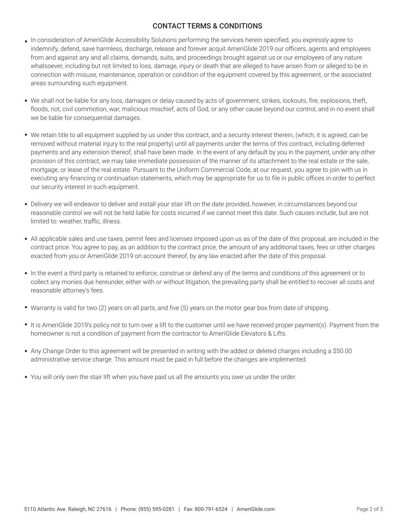# CONTACT TERMS & CONDITIONS

- In consideration of AmeriGlide Accessibility Solutions performing the services herein specified, you expressly agree to indemnify, defend, save harmless, discharge, release and forever acquit AmeriGlide 2019 our officers, agents and employees from and against any and all claims, demands, suits, and proceedings brought against us or our employees of any nature whatsoever, including but not limited to loss, damage, injury or death that are alleged to have arisen from or alleged to be in connection with misuse, maintenance, operation or condition of the equipment covered by this agreement, or the associated areas surrounding such equipment.
- We shall not be liable for any loss, damages or delay caused by acts of government, strikes, lockouts, fire, explosions, theft, floods, riot, civil commotion, war, malicious mischief, acts of God, or any other cause beyond our control, and in no event shall we be liable for consequential damages.
- We retain title to all equipment supplied by us under this contract, and a security interest therein, (which, it is agreed, can be removed without material injury to the real property) until all payments under the terms of this contract, including deferred payments and any extension thereof, shall have been made. In the event of any default by you in the payment, under any other provision of this contract, we may take immediate possession of the manner of its attachment to the real estate or the sale, mortgage, or lease of the real estate. Pursuant to the Uniform Commercial Code, at our request, you agree to join with us in executing any financing or continuation statements, which may be appropriate for us to file in public offices in order to perfect our security interest in such equipment.
- Delivery we will endeavor to deliver and install your stair lift on the date provided, however, in circumstances beyond our reasonable control we will not be held liable for costs incurred if we cannot meet this date. Such causes include, but are not limited to: weather, traffic, illness.
- All applicable sales and use taxes, permit fees and licenses imposed upon us as of the date of this proposal, are included in the contract price. You agree to pay, as an addition to the contract price, the amount of any additional taxes, fees or other charges exacted from you or AmeriGlide 2019 on account thereof, by any law enacted after the date of this proposal.
- In the event a third party is retained to enforce, construe or defend any of the terms and conditions of this agreement or to collect any monies due hereunder, either with or without litigation, the prevailing party shall be entitled to recover all costs and reasonable attorney's fees.
- Warranty is valid for two (2) years on all parts, and five (5) years on the motor gear box from date of shipping.
- . It is AmeriGlide 2019's policy not to turn over a lift to the customer until we have received proper payment(s). Payment from the homeowner is not a condition of payment from the contractor to AmeriGlide Elevators & Lifts.
- Any Change Order to this agreement will be presented in writing with the added or deleted charges including a \$50.00 administrative service charge. This amount must be paid in full before the changes are implemented.
- You will only own the stair lift when you have paid us all the amounts you owe us under the order. •